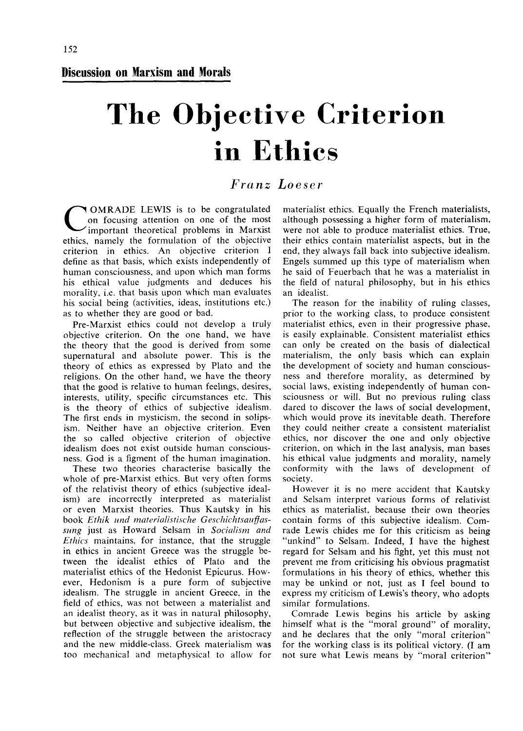**Discussion on Marxism and Morals** 

# The Objective Criterion in Ethics

## *Franz Loeser*

C OMRADE LEWIS is to be congratulated on focusing attention on one of the most important theoretical problems in Marxist ethics, namely the formulation of the objective criterion in ethics. An objective criterion I define as that basis, which exists independently of human consciousness, and upon which man forms his ethical value judgments and deduces his morality, i.e. that basis upon which man evaluates his social being (activities, ideas, institutions etc.) as to whether they are good or bad.

Pre-Marxist ethics could not develop a truly objective criterion. On the one hand, we have the theory that the good is derived from some supernatural and absolute power. This is the theory of ethics as expressed by Plato and the religions. On the other hand, we have the theory that the good is relative to human feelmgs, desires, interests, utility, specific circumstances etc. This is the theory of ethics of subjective idealism. The first ends in mysticism, the second in solipsism. Neither have an objective criterion. Even the so called objective criterion of objective idealism does not exist outside human consciousness. God is a figment of the human imagination.

These two theories characterise basically the whole of pre-Marxist ethics. But very often forms of the relativist theory of ethics (subjective idealism) are incorrectly interpreted as materialist or even Marxist theories. Thus Kautsky in his book *Ethik und materialistische Geschichtsauffassiing* just as Howard Selsam in *Socialism and Ethics* maintains, for instance, that the struggle in ethics in ancient Greece was the struggle between the idealist ethics of Plato and the materialist ethics of the Hedonist Epicurus. However, Hedonism is a pure form of subjective idealism. The struggle in ancient Greece, in the field of ethics, was not between a materialist and an idealist theory, as it was in natural philosophy, but between objective and subjective idealize the but between objective and subjective nearism, the reflection of the struggle between the aristocracy and the new middle-class. Greek materialism was too mechanical and metaphysical to allow for materialist ethics. Equally the French materialists, although possessing a higher form of materialism, were not able to produce materialist ethics. True, their ethics contain materialist aspects, but in the end, they always fall back into subjective idealism. Engels summed up this type of materialism when he said of Feuerbach that he was a materialist in the field of natural philosophy, but in his ethics an idealist.

The reason for the inability of ruling classes, prior to the working class, to produce consistent materialist ethics, even in their progressive phase, is easily explainable. Consistent materialist ethics can only be created on the basis of dialectical materialism, the only basis which can explain the development of society and human consciousness and therefore morality, as determined by social laws, existing independently of human consciousness or will. But no previous ruling class dared to discover the laws of social development, which would prove its inevitable death. Therefore which would prove its incontante death. Therefore ethics, non-discover the one and other district ethics, nor discover the one and only objective criterion, on which in the last analysis, man bases his ethical value is demonto and morality, no solution ms emical value judgments and morality, hanger conformity with the laws of development of society.

However it is no mere accident that Kautsky and Selsam interpret various forms of relativist ethics as materialist, because their own theories contain forms of this subjective idealism. Comrade Lewis chides me for this criticism as being "unkind" to Selsam. Indeed, I have the highest regard for Selsam and his fight, yet this must not prevent not below antioning his obvious presented formulations in his theory of ethics, whether this formulations in his theory of ethics, whether this may be unkind or not, just as I feel bound to  $\frac{1}{2}$  may be unknown of  $\frac{1}{2}$  mot,  $\frac{1}{2}$  as  $\frac{1}{2}$  feel bound to similar formulations. similar formulations.<br>Comrade Lewis begins his article by asking

himself what is the "moral ground" of morality, and he declares that the only "moral criterion" for the working class is its political victory. (I am not sure what Lewis means by "moral criterion"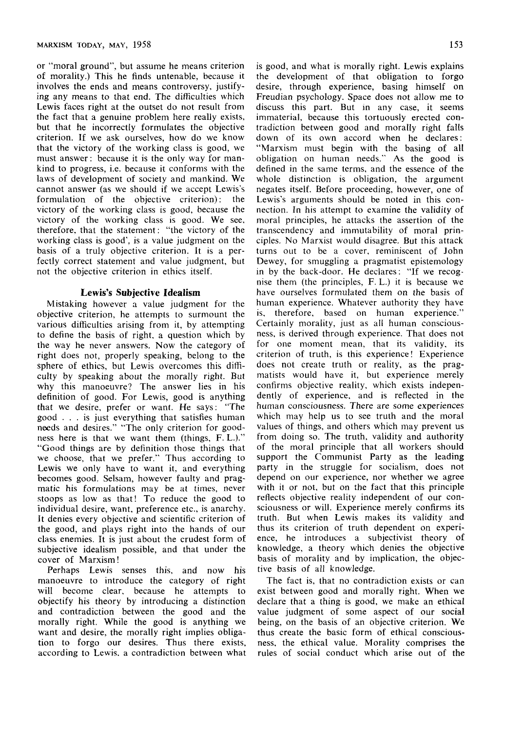or "moral ground", but assume he means criterion of morality.) This he finds untenable, because it involves the ends and means controversy, justifying any means to that end. The difficulties which Lewis faces right at the outset do not result from the fact that a genuine problem here really exists, but that he incorrectly formulates the objective criterion. If we ask ourselves, how do we know that the victory of the working class is good, we must answer: because it is the only way for mankind to progress, i.e. because it conforms with the laws of development of society and mankind. We cannot answer (as we should if we accept Lewis's formulation of the objective criterion): the victory of the working class is good, because the victory of the working class is good. We see, therefore, that the statement: "the victory of the working class is good", is a value judgment on the basis of a truly objective criterion. It is a perfectly correct statement and value judgment, but not the objective criterion in ethics itself.

#### **Lewis's Subjective Idealism**

Mistaking however a value judgment for the objective criterion, he attempts to surmount the various difficulties arising from it, by attempting to define the basis of right, a question which by the way he never answers. Now the category of right does not, properly speaking, belong to the sphere of ethics, but Lewis overcomes this difficulty by speaking about the morally right. Bui why this manoeuvre? The answer lies in his definition of good. For Lewis, good is anything that we desire, prefer or want. He says: "The good .. . is just everything that satisfies human needs and desires." "The only criterion for goodness here is that we want them (things, F. L.)." "Good things are by definition those things that we choose, that we prefer." Thus according to Lewis we only have to want it, and everything becomes good, Selsam, however faulty and pragmatic his formulations may be at times, never stoops as low as that! To reduce the good to individual desire, want, preference etc., is anarchy. It denies every objective and scientific criterion of the good, and plays right into the hands of our class enemies. It is just about the crudest form of subjective idealism possible, and that under the cover of Marxism!

Perhaps Lewis senses this, and now his manoeuvre to introduce the category of right will become clear, because he attempts to objectify his theory by introducing a distinction and contradiction between the good and the morally right. While the good is anything we want and desire, the morally right implies obligation to forgo our desires. Thus there exists, according to Lewis, a contradiction between what is good, and what is morally right. Lewis explains the development of that obligation to forgo desire, through experience, basing himself on Freudian psychology. Space does not allow me to discuss this part. But in any case, it seems immaterial, because this tortuously erected contradiction between good and morally right falls down of its own accord when he declares: "Marxism must begin with the basing of all obligation on human needs." As the good is defined in the same terms, and the essence of the whole distinction is obligation, the argument negates itself. Before proceeding, however, one of Lewis's arguments should be noted in this connection. In his attempt to examine the validity of moral principles, he attacks the assertion of the transcendency and immutability of moral principles. No Marxist would disagree. But this attack turns out to be a cover, reminiscent of lohn Dewey, for smuggling a pragmatist epistemology in by the back-door. He declares; "If we recognise them (the principles, F. L.) it is because we have ourselves formulated them on the basis of human experience. Whatever authority they have is, therefore, based on human experience." Certainly morality, just as all human consciousness, is derived through experience. That does not for one moment mean, that its validity, its criterion of truth, is this experience! Experience does not create truth or reality, as the pragmatists would have it, but experience merely confirms objective reality, which exists independently of experience, and is reflected in the human consciousness. There are some experiences which may help us to see truth and the moral values of things, and others which may prevent us from doing so. The truth, validity and authority of the moral principle that all workers should support the Communist Party as the leading party in the struggle for socialism, does not

The fact is, that no contradiction exists or can exist between good and morally right. When we declare that a thing is good, we make an ethical value judgment of some aspect of our social being, on the basis of an objective criterion. We thus create the basic form of ethical consciousness, the ethical value. Morality comprises the rules of social conduct which arise out of the

tive basis of all knowledge.

depend on our experience, nor whether we agree with it or not, but on the fact that this principle reflects objective reality independent of our consciousness or will. Experience merely confirms its truth. But when Lewis makes its validity and thus its criterion of truth dependent on experience, he introduces a subjectivist theory of knowledge, a theory which denies the objective basis of morality and by implication, the objec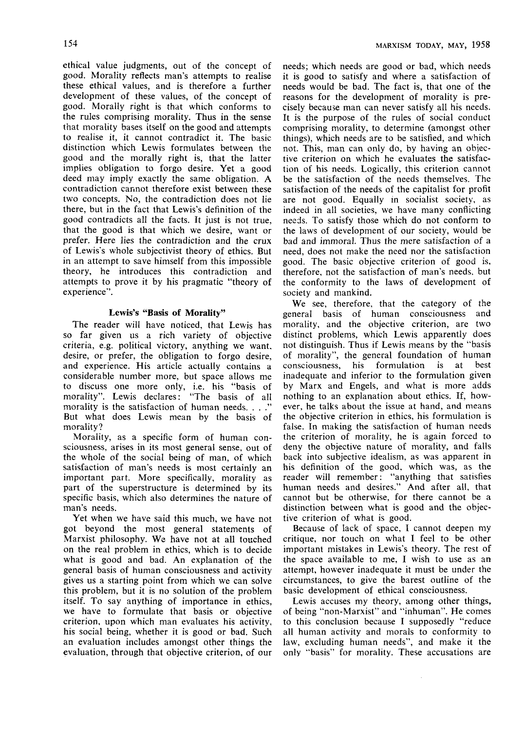ethical value judgments, out of the concept of good. Morality reflects man's attempts to realise these ethical values, and is therefore a further development of these values, of the concept of good. Morally right is that which conforms to the rules comprising morality. Thus in the sense that morality bases itself on the good and attempts to realise it, it cannot contradict it. The basic distinction which Lewis formulates between the good and the morally right is, that the latter implies obligation to forgo desire. Yet a good deed may imply exactly the same obligation. A contradiction cannot therefore exist between these two concepts. No, the contradiction does not lie there, but in the fact that Lewis's definition of the good contradicts all the facts. It just is not true, that the good is that which we desire, want or prefer. Here lies the contradiction and the crux of Lewis's whole subjectivist theory of ethics. But in an attempt to save himself from this impossible theory, he introduces this contradiction and attempts to prove it by his pragmatic "theory of experience".

#### **Lewis's "Basis of Morality"**

The reader will have noticed, that Lewis has so far given us a rich variety of objective criteria, e.g. political victory, anything we want, desire, or prefer, the obligation to forgo desire, and experience. His article actually contains a considerable number more, but space allows me to discuss one more only, i.e. his "basis of morality". Lewis declares: "The basis of all morality is the satisfaction of human needs. . . ." But what does Lewis mean by the basis of morality?

Morality, as a specific form of human consciousness, arises in its most general sense, out of the whole of the social being of man, of which satisfaction of man's needs is most certainly an important part. More specifically, morality as part of the superstructure is determined by its specific basis, which also determines the nature of man's needs.

Yet when we have said this much, we have not got beyond the most general statements of Marxist philosophy. We have not at all touched on the real problem in ethics, which is to decide what is good and bad. An explanation of the general basis of human consciousness and activity gives us a starting point from which we can solve this problem, but it is no solution of the problem itself. To say anything of importance in ethics, we have to formulate that basis or objective criterion, upon which man evaluates his activity, his social being, whether it is good or bad. Such an evaluation includes amongst other things the evaluation, through that objective criterion, of our

needs; which needs are good or bad, which needs it is good to satisfy and where a satisfaction of needs would be bad. The fact is, that one of the reasons for the development of morality is precisely because man can never satisfy all his needs. It is the purpose of the rules of social conduct comprising morality, to determine (amongst other things), which needs are to be satisfied, and which not. This, man can only do, by having an objective criterion on which he evaluates the satisfaction of his needs. Logically, this criterion cannot be the satisfaction of the needs themselves. The satisfaction of the needs of the capitalist for profit are not good. Equally in socialist society, as indeed in all societies, we have many conflicting needs. To satisfy those which do not conform to the laws of development of our society, would be bad and immoral. Thus the mere satisfaction of a need, does not make the need nor the satisfaction good. The basic objective criterion of good is, therefore, not the satisfaction of man's needs, but the conformity to the laws of development of society and mankind.

We see, therefore, that the category of the general basis of human consciousness and morality, and the objective criterion, are two distinct problems, which Lewis apparently does not distinguish. Thus if Lewis means by the "basis of morality", the general foundation of human consciousness, his formulation is at best inadequate and inferior to the formulation given by Marx and Engels, and what is more adds nothing to an explanation about ethics. If, however, he talks about the issue at hand, and means the objective criterion in ethics, his formulation is false. In making the satisfaction of human needs the criterion of morality, he is again forced to deny the objective nature of morality, and falls back into subjective idealism, as was apparent in his definition of the good, which was, as the reader will remember: "anything that satisfies human needs and desires." And after all, that cannot but be otherwise, for there cannot be a distinction between what is good and the objective criterion of what is good.

Because of lack of space, I cannot deepen my critique, nor touch on what I feel to be other important mistakes in Lewis's theory. The rest of the space available to me, I wish to use as an attempt, however inadequate it must be under the circumstances, to give the barest outline of the basic development of ethical consciousness.

Lewis accuses my theory, among other things, of being "non-Marxist" and "inhuman". He comes to this conclusion because I supposedly "reduce aU human activity and morals to conformity to law, excluding human needs", and make it the only "basis" for morality. These accusations are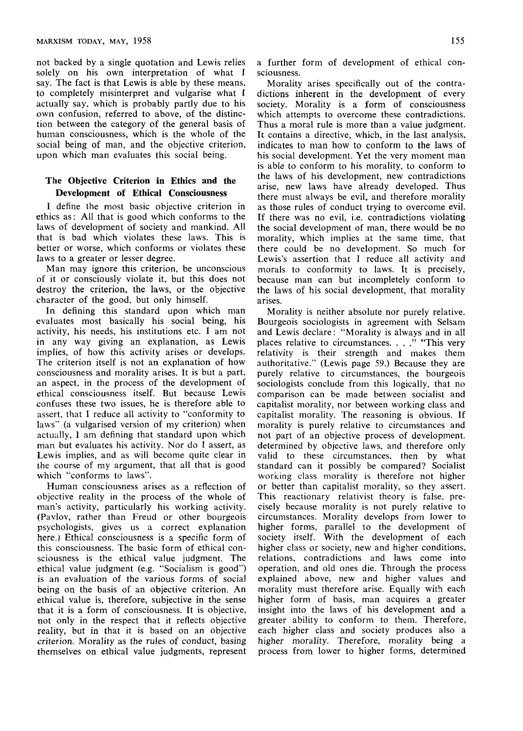not backed by a single quotation and Lewis relies solely on his own interpretation of what I say. The fact is that Lewis is able by these means, to completely misinterpret and vulgarise what I actually say, which is probably partly due to his own confusion, referred to above, of the distinction between the category of the general basis of human consciousness, which is the whole of the social being of man, and the objective criterion, upon which man evaluates this social being.

#### **The Objective Criterion in Ethics and the Development of Ethical Consciousness**

I define the most basic objective criterion in ethics as: All that is good which conforms to the laws of development of society and mankind. AH that is bad which violates these laws. This is better or worse, which conforms or violates these laws to a greater or lesser degree.

Man may ignore this criterion, be unconscious of it or consciously violate it, but this does not destroy the criterion, the laws, or the objective character of the good, but only himself.

In defining this standard upon which man evaluates most basically his social being, his activity, his needs, his institutions etc. I am not in any way giving an explanation, as Lewis implies, of how this activity arises or develops. The criterion itself is not an explanation of how consciousness and morality arises. It is but a part, an aspect, in the process of the development of ethical consciousness itself. But because Lewis confuses these two issues, he is therefore able to assert, that I reduce all activity to "conformity to laws" (a vulgarised version of my criterion) when actually, I am defining that standard upon which man but evaluates his activity. Nor do I assert, as Lewis implies, and as will become quite clear in the course of my argument, that all that is good which "conforms to laws".

Human consciousness arises as a reflection of objective reality in the process of the whole of man's activity, particularly his working activity. (Pavlov, rather than Freud or other bourgeois psychologists, gives us a correct explanation here.) Ethical consciousness is a specific form of this consciousness. The basic form of ethical consciousness is the ethical value judgment. The ethical value judgment (e.g. "Socialism is good") is an evaluation of the various forms of social being on the basis of an objective criterion. An ethical value is, therefore, subjective in the sense that it is a form of consciousness. It is objective, not only in the respect that it reflects objective reality, but in that it is based on an objective criterion. Morality as the rules of conduct, basing themselves on ethical value judgments, represent

a further form of development of ethical consciousness.

Morality arises specifically out of the contradictions inherent in the development of every society. Morality is a form of consciousness which attempts to overcome these contradictions. Thus a moral rule is more than a value judgment. It contains a directive, which, in the last analysis, indicates to man how to conform to the laws of his social development. Yet the very moment man is able to conform to his morality, to conform to the laws of his development, new contradictions arise, new laws have already developed. Thus there must always be evil, and therefore morality as those rules of conduct trying to overcome evil. If there was no evil, i.e. contradictions violating the social development of man, there would be no morality, which implies at the same time, that there could be no development. So much for Lewis's assertion that 1 reduce all activity and morals to conformity to laws. It is precisely, because man can but incompletely conform to the laws of his social development, that morality arises.

Morality is neither absolute nor purely relative. Bourgeois sociologists in agreement with Selsam and Lewis declare: "Morality is always and in all places relative to circumstances. . . ." "This very relativity is their strength and makes them authoritative." (Lewis page 59.) Because they are purely relative to circumstances, the bourgeois sociologists conclude from this logically, that no comparison can be made between socialist and capitalist morality, nor between working class and capitalist morality. The reasoning is obvious. If morality is purely relative to circumstances and not part of an objective process of development, determined by objective laws, and therefore only valid to these circumstances, then by what standard can it possibly be compared? Socialist working class morality is therefore not higher or better than capitalist morality, so they assert. This reactionary relativist theory is false, precisely because morality is not purely relative to circumstances. Morality develops from lower to higher forms, parallel to the development of society itself. With the development of each higher class or society, new and higher conditions, relations, contradictions and laws come into operation, and old ones die. Through the process explained above, new and higher values and morality must therefore arise. Equally with each higher form of basis, man acquires a greater insight into the laws of his development and a greater ability to conform to them. Therefore, each higher class and society produces also a higher morality. Therefore, morality being a process from lower to higher forms, determined